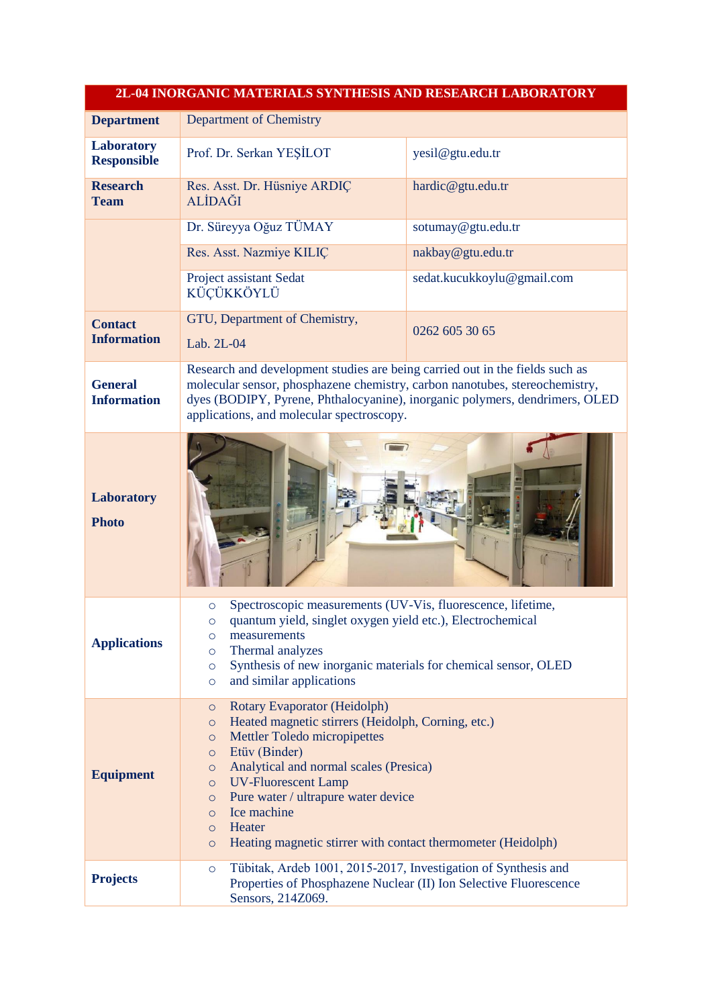| 2L-04 INORGANIC MATERIALS SYNTHESIS AND RESEARCH LABORATORY |                                                                                                                                                                                                                                                                                                                                                                                                                                                                  |                            |  |  |
|-------------------------------------------------------------|------------------------------------------------------------------------------------------------------------------------------------------------------------------------------------------------------------------------------------------------------------------------------------------------------------------------------------------------------------------------------------------------------------------------------------------------------------------|----------------------------|--|--|
| <b>Department</b>                                           | <b>Department of Chemistry</b>                                                                                                                                                                                                                                                                                                                                                                                                                                   |                            |  |  |
| <b>Laboratory</b><br><b>Responsible</b>                     | Prof. Dr. Serkan YEŞİLOT                                                                                                                                                                                                                                                                                                                                                                                                                                         | yesil@gtu.edu.tr           |  |  |
| <b>Research</b><br><b>Team</b>                              | Res. Asst. Dr. Hüsniye ARDIÇ<br><b>ALİDAĞI</b>                                                                                                                                                                                                                                                                                                                                                                                                                   | hardic@gtu.edu.tr          |  |  |
|                                                             | Dr. Süreyya Oğuz TÜMAY                                                                                                                                                                                                                                                                                                                                                                                                                                           | sotumay@gtu.edu.tr         |  |  |
|                                                             | Res. Asst. Nazmiye KILIÇ                                                                                                                                                                                                                                                                                                                                                                                                                                         | nakbay@gtu.edu.tr          |  |  |
|                                                             | Project assistant Sedat<br>KÜÇÜKKÖYLÜ                                                                                                                                                                                                                                                                                                                                                                                                                            | sedat.kucukkoylu@gmail.com |  |  |
| <b>Contact</b><br><b>Information</b>                        | GTU, Department of Chemistry,<br>Lab. 2L-04                                                                                                                                                                                                                                                                                                                                                                                                                      | 0262 605 30 65             |  |  |
| <b>General</b><br><b>Information</b>                        | Research and development studies are being carried out in the fields such as<br>molecular sensor, phosphazene chemistry, carbon nanotubes, stereochemistry,<br>dyes (BODIPY, Pyrene, Phthalocyanine), inorganic polymers, dendrimers, OLED<br>applications, and molecular spectroscopy.                                                                                                                                                                          |                            |  |  |
| Laboratory<br><b>Photo</b>                                  |                                                                                                                                                                                                                                                                                                                                                                                                                                                                  |                            |  |  |
| <b>Applications</b>                                         | Spectroscopic measurements (UV-Vis, fluorescence, lifetime,<br>$\circ$<br>quantum yield, singlet oxygen yield etc.), Electrochemical<br>$\circ$<br>measurements<br>$\circ$<br>Thermal analyzes<br>$\circ$<br>Synthesis of new inorganic materials for chemical sensor, OLED<br>$\circ$<br>and similar applications<br>$\circ$                                                                                                                                    |                            |  |  |
| <b>Equipment</b>                                            | Rotary Evaporator (Heidolph)<br>$\circ$<br>Heated magnetic stirrers (Heidolph, Corning, etc.)<br>$\circ$<br><b>Mettler Toledo micropipettes</b><br>$\circ$<br>Etüv (Binder)<br>$\circ$<br>Analytical and normal scales (Presica)<br>$\circ$<br><b>UV-Fluorescent Lamp</b><br>$\circ$<br>Pure water / ultrapure water device<br>$\circ$<br>Ice machine<br>$\circ$<br>Heater<br>$\circ$<br>Heating magnetic stirrer with contact thermometer (Heidolph)<br>$\circ$ |                            |  |  |
| <b>Projects</b>                                             | Tübitak, Ardeb 1001, 2015-2017, Investigation of Synthesis and<br>$\circ$<br>Properties of Phosphazene Nuclear (II) Ion Selective Fluorescence<br>Sensors, 214Z069.                                                                                                                                                                                                                                                                                              |                            |  |  |